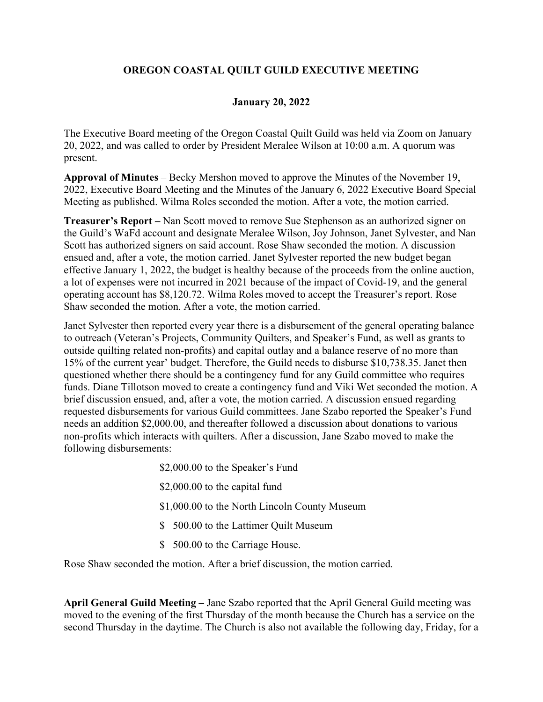## **OREGON COASTAL QUILT GUILD EXECUTIVE MEETING**

## **January 20, 2022**

The Executive Board meeting of the Oregon Coastal Quilt Guild was held via Zoom on January 20, 2022, and was called to order by President Meralee Wilson at 10:00 a.m. A quorum was present.

**Approval of Minutes** – Becky Mershon moved to approve the Minutes of the November 19, 2022, Executive Board Meeting and the Minutes of the January 6, 2022 Executive Board Special Meeting as published. Wilma Roles seconded the motion. After a vote, the motion carried.

**Treasurer's Report –** Nan Scott moved to remove Sue Stephenson as an authorized signer on the Guild's WaFd account and designate Meralee Wilson, Joy Johnson, Janet Sylvester, and Nan Scott has authorized signers on said account. Rose Shaw seconded the motion. A discussion ensued and, after a vote, the motion carried. Janet Sylvester reported the new budget began effective January 1, 2022, the budget is healthy because of the proceeds from the online auction, a lot of expenses were not incurred in 2021 because of the impact of Covid-19, and the general operating account has \$8,120.72. Wilma Roles moved to accept the Treasurer's report. Rose Shaw seconded the motion. After a vote, the motion carried.

Janet Sylvester then reported every year there is a disbursement of the general operating balance to outreach (Veteran's Projects, Community Quilters, and Speaker's Fund, as well as grants to outside quilting related non-profits) and capital outlay and a balance reserve of no more than 15% of the current year' budget. Therefore, the Guild needs to disburse \$10,738.35. Janet then questioned whether there should be a contingency fund for any Guild committee who requires funds. Diane Tillotson moved to create a contingency fund and Viki Wet seconded the motion. A brief discussion ensued, and, after a vote, the motion carried. A discussion ensued regarding requested disbursements for various Guild committees. Jane Szabo reported the Speaker's Fund needs an addition \$2,000.00, and thereafter followed a discussion about donations to various non-profits which interacts with quilters. After a discussion, Jane Szabo moved to make the following disbursements:

> \$2,000.00 to the Speaker's Fund \$2,000.00 to the capital fund \$1,000.00 to the North Lincoln County Museum \$ 500.00 to the Lattimer Quilt Museum \$ 500.00 to the Carriage House.

Rose Shaw seconded the motion. After a brief discussion, the motion carried.

**April General Guild Meeting –** Jane Szabo reported that the April General Guild meeting was moved to the evening of the first Thursday of the month because the Church has a service on the second Thursday in the daytime. The Church is also not available the following day, Friday, for a